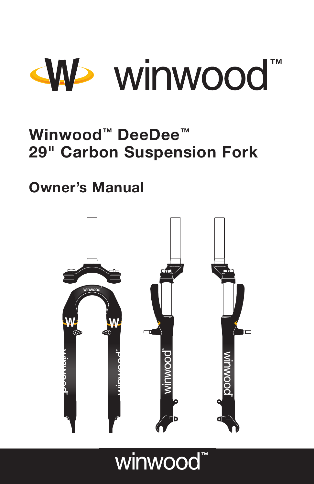

### **Winwood™ DeeDee™ 29" Carbon Suspension Fork**

### **Owner's Manual**



winwood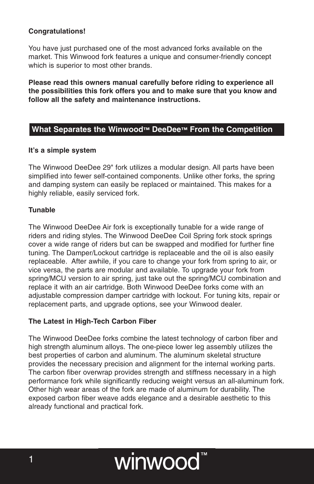#### **Congratulations!**

You have just purchased one of the most advanced forks available on the market. This Winwood fork features a unique and consumer-friendly concept which is superior to most other brands.

**Please read this owners manual carefully before riding to experience all the possibilities this fork offers you and to make sure that you know and follow all the safety and maintenance instructions.**

#### **What Separates the Winwood™ DeeDee™ From the Competition**

#### **It's a simple system**

The Winwood DeeDee 29" fork utilizes a modular design. All parts have been simplified into fewer self-contained components. Unlike other forks, the spring and damping system can easily be replaced or maintained. This makes for a highly reliable, easily serviced fork.

#### **Tunable**

The Winwood DeeDee Air fork is exceptionally tunable for a wide range of riders and riding styles. The Winwood DeeDee Coil Spring fork stock springs cover a wide range of riders but can be swapped and modified for further fine tuning. The Damper/Lockout cartridge is replaceable and the oil is also easily replaceable. After awhile, if you care to change your fork from spring to air, or vice versa, the parts are modular and available. To upgrade your fork from spring/MCU version to air spring, just take out the spring/MCU combination and replace it with an air cartridge. Both Winwood DeeDee forks come with an adjustable compression damper cartridge with lockout. For tuning kits, repair or replacement parts, and upgrade options, see your Winwood dealer.

#### **The Latest in High-Tech Carbon Fiber**

The Winwood DeeDee forks combine the latest technology of carbon fiber and high strength aluminum alloys. The one-piece lower leg assembly utilizes the best properties of carbon and aluminum. The aluminum skeletal structure provides the necessary precision and alignment for the internal working parts. The carbon fiber overwrap provides strength and stiffness necessary in a high performance fork while significantly reducing weight versus an all-aluminum fork. Other high wear areas of the fork are made of aluminum for durability. The exposed carbon fiber weave adds elegance and a desirable aesthetic to this already functional and practical fork.

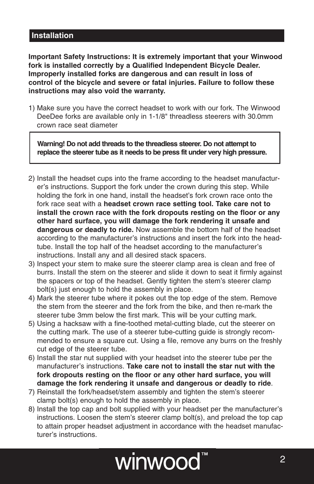#### **Installation**

**Important Safety Instructions: It is extremely important that your Winwood fork is installed correctly by a Qualified Independent Bicycle Dealer. Improperly installed forks are dangerous and can result in loss of control of the bicycle and severe or fatal injuries. Failure to follow these instructions may also void the warranty.** 

1) Make sure you have the correct headset to work with our fork. The Winwood DeeDee forks are available only in 1-1/8" threadless steerers with 30.0mm crown race seat diameter

**Warning! Do not add threads to the threadless steerer. Do not attempt to replace the steerer tube as it needs to be press fit under very high pressure.**

- 2) Install the headset cups into the frame according to the headset manufacturer's instructions. Support the fork under the crown during this step. While holding the fork in one hand, install the headset's fork crown race onto the fork race seat with a **headset crown race setting tool. Take care not to install the crown race with the fork dropouts resting on the floor or any other hard surface, you will damage the fork rendering it unsafe and dangerous or deadly to ride.** Now assemble the bottom half of the headset according to the manufacturer's instructions and insert the fork into the headtube. Install the top half of the headset according to the manufacturer's instructions. Install any and all desired stack spacers.
- 3) Inspect your stem to make sure the steerer clamp area is clean and free of burrs. Install the stem on the steerer and slide it down to seat it firmly against the spacers or top of the headset. Gently tighten the stem's steerer clamp bolt(s) just enough to hold the assembly in place.
- 4) Mark the steerer tube where it pokes out the top edge of the stem. Remove the stem from the steerer and the fork from the bike, and then re-mark the steerer tube 3mm below the first mark. This will be your cutting mark.
- 5) Using a hacksaw with a fine-toothed metal-cutting blade, cut the steerer on the cutting mark. The use of a steerer tube-cutting guide is strongly recommended to ensure a square cut. Using a file, remove any burrs on the freshly cut edge of the steerer tube.
- 6) Install the star nut supplied with your headset into the steerer tube per the manufacturer's instructions. **Take care not to install the star nut with the fork dropouts resting on the floor or any other hard surface, you will damage the fork rendering it unsafe and dangerous or deadly to ride**.
- 7) Reinstall the fork/headset/stem assembly and tighten the stem's steerer clamp bolt(s) enough to hold the assembly in place.
- 8) Install the top cap and bolt supplied with your headset per the manufacturer's instructions. Loosen the stem's steerer clamp bolt(s), and preload the top cap to attain proper headset adjustment in accordance with the headset manufacturer's instructions.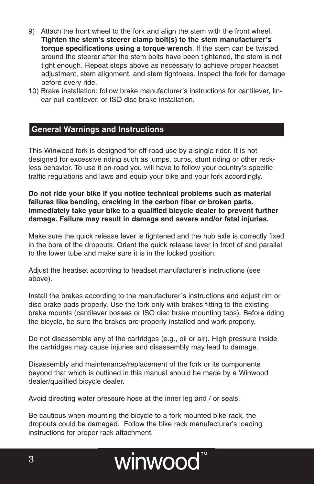- 9) Attach the front wheel to the fork and align the stem with the front wheel. **Tighten the stem's steerer clamp bolt(s) to the stem manufacturer's torque specifications using a torque wrench**. If the stem can be twisted around the steerer after the stem bolts have been tightened, the stem is not tight enough. Repeat steps above as necessary to achieve proper headset adjustment, stem alignment, and stem tightness. Inspect the fork for damage before every ride.
- 10) Brake installation: follow brake manufacturer's instructions for cantilever, linear pull cantilever, or ISO disc brake installation.

#### **General Warnings and Instructions**

This Winwood fork is designed for off-road use by a single rider. It is not designed for excessive riding such as jumps, curbs, stunt riding or other reckless behavior. To use it on-road you will have to follow your country's specific traffic regulations and laws and equip your bike and your fork accordingly.

**Do not ride your bike if you notice technical problems such as material failures like bending, cracking in the carbon fiber or broken parts. Immediately take your bike to a qualified bicycle dealer to prevent further damage. Failure may result in damage and severe and/or fatal injuries.**

Make sure the quick release lever is tightened and the hub axle is correctly fixed in the bore of the dropouts. Orient the quick release lever in front of and parallel to the lower tube and make sure it is in the locked position.

Adjust the headset according to headset manufacturer's instructions (see above).

Install the brakes according to the manufacturer´s instructions and adjust rim or disc brake pads properly. Use the fork only with brakes fitting to the existing brake mounts (cantilever bosses or ISO disc brake mounting tabs). Before riding the bicycle, be sure the brakes are properly installed and work properly.

Do not disassemble any of the cartridges (e.g., oil or air). High pressure inside the cartridges may cause injuries and disassembly may lead to damage.

Disassembly and maintenance/replacement of the fork or its components beyond that which is outlined in this manual should be made by a Winwood dealer/qualified bicycle dealer.

Avoid directing water pressure hose at the inner leg and / or seals.

Be cautious when mounting the bicycle to a fork mounted bike rack, the dropouts could be damaged. Follow the bike rack manufacturer's loading instructions for proper rack attachment.

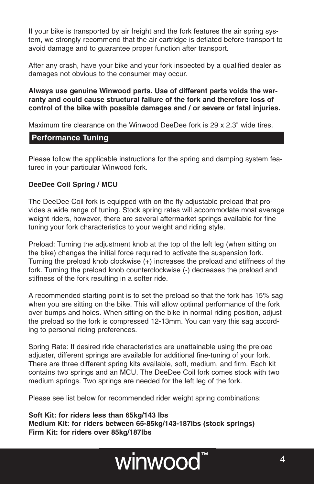If your bike is transported by air freight and the fork features the air spring system, we strongly recommend that the air cartridge is deflated before transport to avoid damage and to guarantee proper function after transport.

After any crash, have your bike and your fork inspected by a qualified dealer as damages not obvious to the consumer may occur.

**Always use genuine Winwood parts. Use of different parts voids the warranty and could cause structural failure of the fork and therefore loss of control of the bike with possible damages and / or severe or fatal injuries.**

Maximum tire clearance on the Winwood DeeDee fork is 29 x 2.3" wide tires.

#### **Performance Tuning**

Please follow the applicable instructions for the spring and damping system featured in your particular Winwood fork.

#### **DeeDee Coil Spring / MCU**

The DeeDee Coil fork is equipped with on the fly adjustable preload that provides a wide range of tuning. Stock spring rates will accommodate most average weight riders, however, there are several aftermarket springs available for fine tuning your fork characteristics to your weight and riding style.

Preload: Turning the adjustment knob at the top of the left leg (when sitting on the bike) changes the initial force required to activate the suspension fork. Turning the preload knob clockwise (+) increases the preload and stiffness of the fork. Turning the preload knob counterclockwise (-) decreases the preload and stiffness of the fork resulting in a softer ride.

A recommended starting point is to set the preload so that the fork has 15% sag when you are sitting on the bike. This will allow optimal performance of the fork over bumps and holes. When sitting on the bike in normal riding position, adjust the preload so the fork is compressed 12-13mm. You can vary this sag according to personal riding preferences.

Spring Rate: If desired ride characteristics are unattainable using the preload adjuster, different springs are available for additional fine-tuning of your fork. There are three different spring kits available, soft, medium, and firm. Each kit contains two springs and an MCU. The DeeDee Coil fork comes stock with two medium springs. Two springs are needed for the left leg of the fork.

Please see list below for recommended rider weight spring combinations:

**Soft Kit: for riders less than 65kg/143 lbs Medium Kit: for riders between 65-85kg/143-187lbs (stock springs) Firm Kit: for riders over 85kg/187lbs**

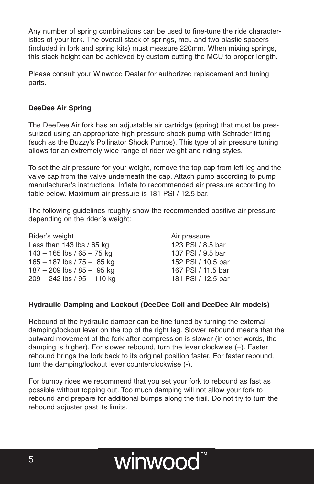Any number of spring combinations can be used to fine-tune the ride characteristics of your fork. The overall stack of springs, mcu and two plastic spacers (included in fork and spring kits) must measure 220mm. When mixing springs, this stack height can be achieved by custom cutting the MCU to proper length.

Please consult your Winwood Dealer for authorized replacement and tuning parts.

#### **DeeDee Air Spring**

The DeeDee Air fork has an adjustable air cartridge (spring) that must be pressurized using an appropriate high pressure shock pump with Schrader fitting (such as the Buzzy's Pollinator Shock Pumps). This type of air pressure tuning allows for an extremely wide range of rider weight and riding styles.

To set the air pressure for your weight, remove the top cap from left leg and the valve cap from the valve underneath the cap. Attach pump according to pump manufacturer's instructions. Inflate to recommended air pressure according to table below. Maximum air pressure is 181 PSI / 12.5 bar.

The following guidelines roughly show the recommended positive air pressure depending on the rider´s weight:

| Rider's weight               | Air pressure       |
|------------------------------|--------------------|
| Less than $143$ lbs / 65 kg  | 123 PSI / 8.5 bar  |
| $143 - 165$ lbs / 65 - 75 kg | 137 PSI / 9.5 bar  |
| $165 - 187$ lbs / 75 - 85 kg | 152 PSI / 10.5 bar |
| 187 - 209 lbs / 85 - 95 kg   | 167 PSI / 11.5 bar |
| 209 - 242 lbs / 95 - 110 kg  | 181 PSI / 12.5 bar |
|                              |                    |

#### **Hydraulic Damping and Lockout (DeeDee Coil and DeeDee Air models)**

Rebound of the hydraulic damper can be fine tuned by turning the external damping/lockout lever on the top of the right leg. Slower rebound means that the outward movement of the fork after compression is slower (in other words, the damping is higher). For slower rebound, turn the lever clockwise (+). Faster rebound brings the fork back to its original position faster. For faster rebound, turn the damping/lockout lever counterclockwise (-).

For bumpy rides we recommend that you set your fork to rebound as fast as possible without topping out. Too much damping will not allow your fork to rebound and prepare for additional bumps along the trail. Do not try to turn the rebound adjuster past its limits.

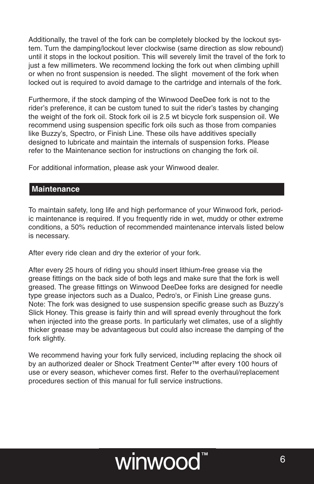Additionally, the travel of the fork can be completely blocked by the lockout system. Turn the damping/lockout lever clockwise (same direction as slow rebound) until it stops in the lockout position. This will severely limit the travel of the fork to just a few millimeters. We recommend locking the fork out when climbing uphill or when no front suspension is needed. The slight movement of the fork when locked out is required to avoid damage to the cartridge and internals of the fork.

Furthermore, if the stock damping of the Winwood DeeDee fork is not to the rider's preference, it can be custom tuned to suit the rider's tastes by changing the weight of the fork oil. Stock fork oil is 2.5 wt bicycle fork suspension oil. We recommend using suspension specific fork oils such as those from companies like Buzzy's, Spectro, or Finish Line. These oils have additives specially designed to lubricate and maintain the internals of suspension forks. Please refer to the Maintenance section for instructions on changing the fork oil.

For additional information, please ask your Winwood dealer.

#### **Maintenance**

To maintain safety, long life and high performance of your Winwood fork, periodic maintenance is required. If you frequently ride in wet, muddy or other extreme conditions, a 50% reduction of recommended maintenance intervals listed below is necessary.

After every ride clean and dry the exterior of your fork.

After every 25 hours of riding you should insert lithium-free grease via the grease fittings on the back side of both legs and make sure that the fork is well greased. The grease fittings on Winwood DeeDee forks are designed for needle type grease injectors such as a Dualco, Pedro's, or Finish Line grease guns. Note: The fork was designed to use suspension specific grease such as Buzzy's Slick Honey. This grease is fairly thin and will spread evenly throughout the fork when injected into the grease ports. In particularly wet climates, use of a slightly thicker grease may be advantageous but could also increase the damping of the fork slightly.

We recommend having your fork fully serviced, including replacing the shock oil by an authorized dealer or Shock Treatment Center™ after every 100 hours of use or every season, whichever comes first. Refer to the overhaul/replacement procedures section of this manual for full service instructions.

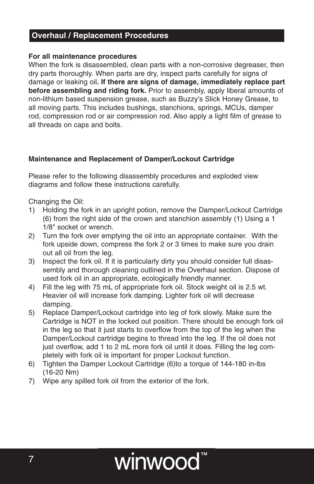#### **Overhaul / Replacement Procedures**

#### **For all maintenance procedures**

When the fork is disassembled, clean parts with a non-corrosive degreaser, then dry parts thoroughly. When parts are dry, inspect parts carefully for signs of damage or leaking oil**. If there are signs of damage, immediately replace part before assembling and riding fork.** Prior to assembly, apply liberal amounts of non-lithium based suspension grease, such as Buzzy's Slick Honey Grease, to all moving parts. This includes bushings, stanchions, springs, MCUs, damper rod, compression rod or air compression rod. Also apply a light film of grease to all threads on caps and bolts.

#### **Maintenance and Replacement of Damper/Lockout Cartridge**

Please refer to the following disassembly procedures and exploded view diagrams and follow these instructions carefully.

Changing the Oil:

- 1) Holding the fork in an upright potion, remove the Damper/Lockout Cartridge (6) from the right side of the crown and stanchion assembly (1) Using a 1 1/8" socket or wrench.
- 2) Turn the fork over emptying the oil into an appropriate container. With the fork upside down, compress the fork 2 or 3 times to make sure you drain out all oil from the leg.
- 3) Inspect the fork oil. If it is particularly dirty you should consider full disassembly and thorough cleaning outlined in the Overhaul section. Dispose of used fork oil in an appropriate, ecologically friendly manner.
- 4) Fill the leg with 75 mL of appropriate fork oil. Stock weight oil is 2.5 wt. Heavier oil will increase fork damping. Lighter fork oil will decrease damping.
- 5) Replace Damper/Lockout cartridge into leg of fork slowly. Make sure the Cartridge is NOT in the locked out position. There should be enough fork oil in the leg so that it just starts to overflow from the top of the leg when the Damper/Lockout cartridge begins to thread into the leg. If the oil does not just overflow, add 1 to 2 mL more fork oil until it does. Filling the leg completely with fork oil is important for proper Lockout function.
- 6) Tighten the Damper Lockout Cartridge (6)to a torque of 144-180 in-lbs (16-20 Nm)
- 7) Wipe any spilled fork oil from the exterior of the fork.

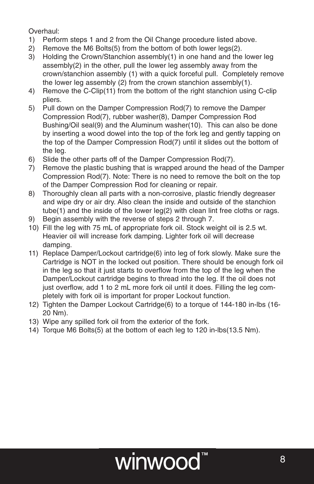Overhaul:

- 1) Perform steps 1 and 2 from the Oil Change procedure listed above.
- 2) Remove the M6 Bolts(5) from the bottom of both lower legs(2).
- 3) Holding the Crown/Stanchion assembly(1) in one hand and the lower leg assembly(2) in the other, pull the lower leg assembly away from the crown/stanchion assembly (1) with a quick forceful pull. Completely remove the lower leg assembly (2) from the crown stanchion assembly(1).
- 4) Remove the C-Clip(11) from the bottom of the right stanchion using C-clip pliers.
- 5) Pull down on the Damper Compression Rod(7) to remove the Damper Compression Rod(7), rubber washer(8), Damper Compression Rod Bushing/Oil seal(9) and the Aluminum washer(10). This can also be done by inserting a wood dowel into the top of the fork leg and gently tapping on the top of the Damper Compression Rod(7) until it slides out the bottom of the leg.
- 6) Slide the other parts off of the Damper Compression Rod(7).
- 7) Remove the plastic bushing that is wrapped around the head of the Damper Compression Rod(7). Note: There is no need to remove the bolt on the top of the Damper Compression Rod for cleaning or repair.
- 8) Thoroughly clean all parts with a non-corrosive, plastic friendly degreaser and wipe dry or air dry. Also clean the inside and outside of the stanchion tube(1) and the inside of the lower leg(2) with clean lint free cloths or rags.
- 9) Begin assembly with the reverse of steps 2 through 7.
- 10) Fill the leg with 75 mL of appropriate fork oil. Stock weight oil is 2.5 wt. Heavier oil will increase fork damping. Lighter fork oil will decrease damping.
- 11) Replace Damper/Lockout cartridge(6) into leg of fork slowly. Make sure the Cartridge is NOT in the locked out position. There should be enough fork oil in the leg so that it just starts to overflow from the top of the leg when the Damper/Lockout cartridge begins to thread into the leg. If the oil does not just overflow, add 1 to 2 mL more fork oil until it does. Filling the leg completely with fork oil is important for proper Lockout function.
- 12) Tighten the Damper Lockout Cartridge(6) to a torque of 144-180 in-lbs (16- 20 Nm).
- 13) Wipe any spilled fork oil from the exterior of the fork.
- 14) Torque M6 Bolts(5) at the bottom of each leg to 120 in-lbs(13.5 Nm).

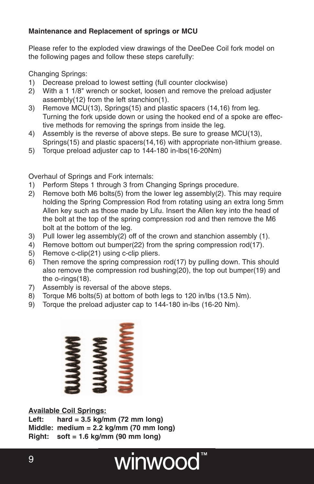#### **Maintenance and Replacement of springs or MCU**

Please refer to the exploded view drawings of the DeeDee Coil fork model on the following pages and follow these steps carefully:

Changing Springs:

- 1) Decrease preload to lowest setting (full counter clockwise)
- 2) With a 1 1/8" wrench or socket, loosen and remove the preload adjuster assembly(12) from the left stanchion(1).
- 3) Remove MCU(13), Springs(15) and plastic spacers (14,16) from leg. Turning the fork upside down or using the hooked end of a spoke are effective methods for removing the springs from inside the leg.
- 4) Assembly is the reverse of above steps. Be sure to grease MCU(13), Springs(15) and plastic spacers(14,16) with appropriate non-lithium grease.
- 5) Torque preload adjuster cap to 144-180 in-lbs(16-20Nm)

Overhaul of Springs and Fork internals:

- 1) Perform Steps 1 through 3 from Changing Springs procedure.
- 2) Remove both M6 bolts(5) from the lower leg assembly(2). This may require holding the Spring Compression Rod from rotating using an extra long 5mm Allen key such as those made by Lifu. Insert the Allen key into the head of the bolt at the top of the spring compression rod and then remove the M6 bolt at the bottom of the leg.
- 3) Pull lower leg assembly(2) off of the crown and stanchion assembly (1).
- 4) Remove bottom out bumper(22) from the spring compression rod(17).
- 5) Remove c-clip(21) using c-clip pliers.
- 6) Then remove the spring compression rod(17) by pulling down. This should also remove the compression rod bushing(20), the top out bumper(19) and the o-rings(18).
- 7) Assembly is reversal of the above steps.
- 8) Torque M6 bolts(5) at bottom of both legs to 120 in/lbs (13.5 Nm).
- 9) Torque the preload adjuster cap to 144-180 in-lbs (16-20 Nm).



**Available Coil Springs:**

**Left: hard = 3.5 kg/mm (72 mm long) Middle: medium = 2.2 kg/mm (70 mm long) Right: soft = 1.6 kg/mm (90 mm long)**

## winwood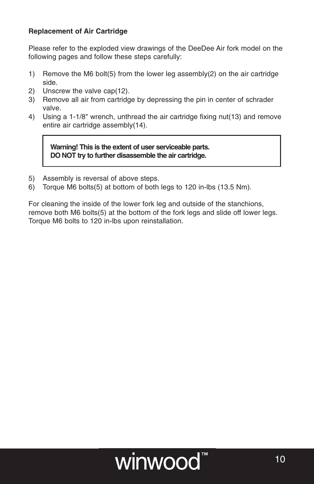#### **Replacement of Air Cartridge**

Please refer to the exploded view drawings of the DeeDee Air fork model on the following pages and follow these steps carefully:

- 1) Remove the M6 bolt(5) from the lower leg assembly(2) on the air cartridge side.
- 2) Unscrew the valve cap(12).
- 3) Remove all air from cartridge by depressing the pin in center of schrader valve.
- 4) Using a 1-1/8" wrench, unthread the air cartridge fixing nut(13) and remove entire air cartridge assembly(14).

**Warning! This is the extent of user serviceable parts. DO NOT try to further disassemble the air cartridge.**

- 5) Assembly is reversal of above steps.
- 6) Torque M6 bolts(5) at bottom of both legs to 120 in-lbs (13.5 Nm).

For cleaning the inside of the lower fork leg and outside of the stanchions, remove both M6 bolts(5) at the bottom of the fork legs and slide off lower legs. Torque M6 bolts to 120 in-lbs upon reinstallation.

## winwood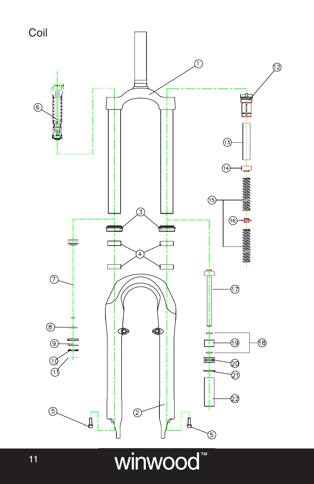

# winwood<sup>\*\*</sup>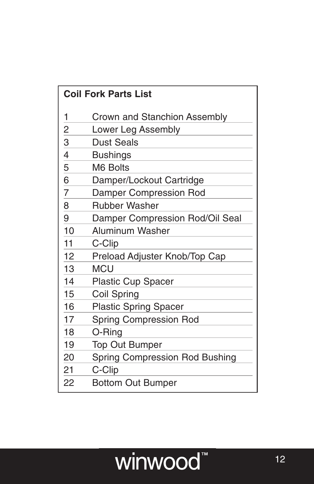| <b>Coil Fork Parts List</b> |                                       |  |
|-----------------------------|---------------------------------------|--|
| 1                           | Crown and Stanchion Assembly          |  |
| $\overline{2}$              | Lower Leg Assembly                    |  |
| $\overline{3}$              | <b>Dust Seals</b>                     |  |
| $\overline{\mathcal{A}}$    | <b>Bushings</b>                       |  |
| 5                           | M6 Bolts                              |  |
| 6                           | Damper/Lockout Cartridge              |  |
| $\overline{7}$              | <b>Damper Compression Rod</b>         |  |
| 8                           | <b>Rubber Washer</b>                  |  |
| 9                           | Damper Compression Rod/Oil Seal       |  |
| 10                          | <b>Aluminum Washer</b>                |  |
| 11                          | C-Clip                                |  |
| 12                          | Preload Adjuster Knob/Top Cap         |  |
| 13                          | <b>MCU</b>                            |  |
| 14                          | <b>Plastic Cup Spacer</b>             |  |
| 15                          | <b>Coil Spring</b>                    |  |
| 16                          | <b>Plastic Spring Spacer</b>          |  |
| 17                          | <b>Spring Compression Rod</b>         |  |
| 18                          | O-Ring                                |  |
| 19                          | <b>Top Out Bumper</b>                 |  |
| 20                          | <b>Spring Compression Rod Bushing</b> |  |
| 21                          | C-Clip                                |  |
| 22                          | <b>Bottom Out Bumper</b>              |  |

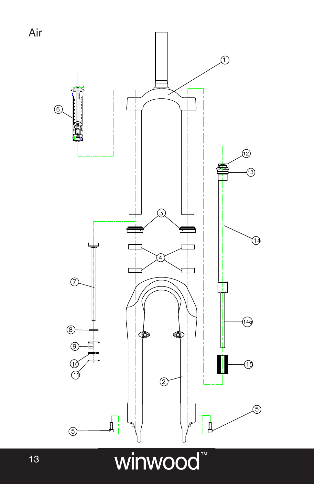

winwood<sup>\*\*</sup>

Air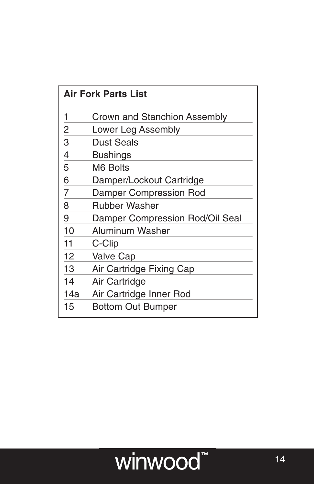| <b>Air Fork Parts List</b> |                                 |  |
|----------------------------|---------------------------------|--|
| 1                          | Crown and Stanchion Assembly    |  |
| 2                          | Lower Leg Assembly              |  |
| 3                          | <b>Dust Seals</b>               |  |
| 4                          | <b>Bushings</b>                 |  |
| 5                          | M6 Bolts                        |  |
| 6                          | Damper/Lockout Cartridge        |  |
| 7                          | <b>Damper Compression Rod</b>   |  |
| 8                          | <b>Rubber Washer</b>            |  |
| 9                          | Damper Compression Rod/Oil Seal |  |
| 10                         | Aluminum Washer                 |  |
| 11                         | C-Clip                          |  |
| 12                         | <b>Valve Cap</b>                |  |
| 13                         | Air Cartridge Fixing Cap        |  |
| 14                         | Air Cartridge                   |  |
| 14a                        | Air Cartridge Inner Rod         |  |
| 15                         | <b>Bottom Out Bumper</b>        |  |